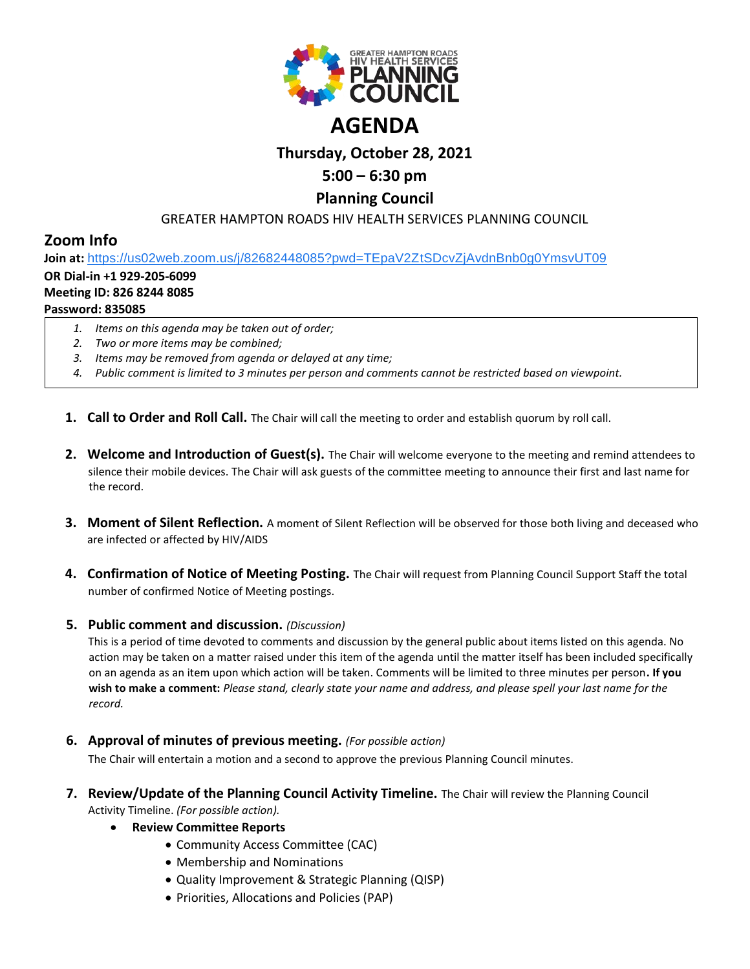

# **Thursday, October 28, 2021**

# **5:00 – 6:30 pm**

# **Planning Council**

## GREATER HAMPTON ROADS HIV HEALTH SERVICES PLANNING COUNCIL

# **Zoom Info**

**Join at:** [https://us02web.zoom.us/j/82682448085?pwd=TEpaV2ZtSDcvZjAvdnBnb0g0YmsvUT09](https://www.google.com/url?q=https://us02web.zoom.us/j/82682448085?pwd%3DTEpaV2ZtSDcvZjAvdnBnb0g0YmsvUT09&sa=D&source=calendar&ust=1619875881860000&usg=AOvVaw0zwYUyYOogd54DiewQ0YcP)

#### **OR Dial-in +1 929-205-6099**

#### **Meeting ID: 826 8244 8085**

### **Password: 835085**

- *1. Items on this agenda may be taken out of order;*
- *2. Two or more items may be combined;*
- *3. Items may be removed from agenda or delayed at any time;*
- *4. Public comment is limited to 3 minutes per person and comments cannot be restricted based on viewpoint.*
- **1. Call to Order and Roll Call.** The Chair will call the meeting to order and establish quorum by roll call.
- **2. Welcome and Introduction of Guest(s).** The Chair will welcome everyone to the meeting and remind attendees to silence their mobile devices. The Chair will ask guests of the committee meeting to announce their first and last name for the record.
- **3. Moment of Silent Reflection.** A moment of Silent Reflection will be observed for those both living and deceased who are infected or affected by HIV/AIDS
- **4. Confirmation of Notice of Meeting Posting.** The Chair will request from Planning Council Support Staff the total number of confirmed Notice of Meeting postings.

#### **5. Public comment and discussion.** *(Discussion)*

This is a period of time devoted to comments and discussion by the general public about items listed on this agenda. No action may be taken on a matter raised under this item of the agenda until the matter itself has been included specifically on an agenda as an item upon which action will be taken. Comments will be limited to three minutes per person**. If you wish to make a comment:** *Please stand, clearly state your name and address, and please spell your last name for the record.*

**6. Approval of minutes of previous meeting.** *(For possible action)*

The Chair will entertain a motion and a second to approve the previous Planning Council minutes.

- **7. Review/Update of the Planning Council Activity Timeline.** The Chair will review the Planning Council Activity Timeline. *(For possible action).*
	- **Review Committee Reports**
		- Community Access Committee (CAC)
		- Membership and Nominations
		- Quality Improvement & Strategic Planning (QISP)
		- Priorities, Allocations and Policies (PAP)